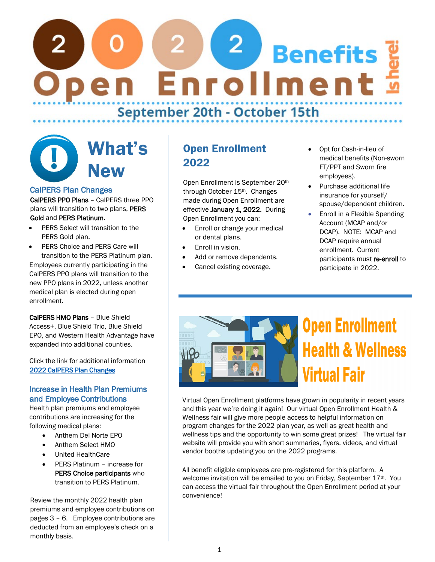# $\begin{pmatrix} 2 \end{pmatrix}$ **Benefits** pen Enrollment September 20th - October 15th

# What's **New**

### CalPERS Plan Changes

CalPERS PPO Plans – CalPERS three PPO plans will transition to two plans, PERS Gold and PERS Platinum.

- PERS Select will transition to the PERS Gold plan.
- PERS Choice and PERS Care will transition to the PERS Platinum plan. Employees currently participating in the CalPERS PPO plans will transition to the new PPO plans in 2022, unless another medical plan is elected during open enrollment.

CalPERS HMO Plans – Blue Shield Access+, Blue Shield Trio, Blue Shield EPO, and Western Health Advantage have expanded into additional counties.

Click the link for additional information [2022 CalPERS Plan Changes](https://www.oaklandca.gov/documents/2022-calpers-medical-plan-changes) 

### Increase in Health Plan Premiums and Employee Contributions

Health plan premiums and employee contributions are increasing for the following medical plans:

- Anthem Del Norte EPO
- Anthem Select HMO
- United HealthCare
- PERS Platinum increase for PERS Choice participants who transition to PERS Platinum.

Review the monthly 2022 health plan premiums and employee contributions on pages 3 – 6. Employee contributions are deducted from an employee's check on a monthly basis.

# Open Enrollment 2022

Open Enrollment is September 20th through October 15<sup>th</sup>. Changes made during Open Enrollment are effective January 1, 2022. During Open Enrollment you can:

- Enroll or change your medical or dental plans.
- Enroll in vision.
- Add or remove dependents.
- Cancel existing coverage.
- Opt for Cash-in-lieu of medical benefits (Non-sworn FT/PPT and Sworn fire employees).
- Purchase additional life insurance for yourself/ spouse/dependent children.
- Enroll in a Flexible Spending Account (MCAP and/or DCAP). NOTE: MCAP and DCAP require annual enrollment. Current participants must re-enroll to participate in 2022.



# **Open Enrollment Health & Wellness Virtual Fair**

Virtual Open Enrollment platforms have grown in popularity in recent years and this year we're doing it again! Our virtual Open Enrollment Health & Wellness fair will give more people access to helpful information on program changes for the 2022 plan year, as well as great health and wellness tips and the opportunity to win some great prizes! The virtual fair website will provide you with short summaries, flyers, videos, and virtual vendor booths updating you on the 2022 programs.

All benefit eligible employees are pre-registered for this platform. A welcome invitation will be emailed to you on Friday, September 17<sup>th</sup>. You can access the virtual fair throughout the Open Enrollment period at your convenience!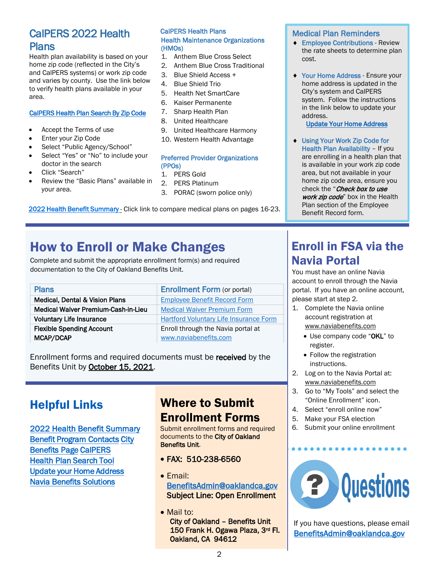## CalPERS 2022 Health Plans

Health plan availability is based on your home zip code (reflected in the City's and CalPERS systems) or work zip code and varies by county. Use the link below to verify health plans available in your area.

#### [CalPERS Health Plan Search By Zip Code](https://www.calpers.ca.gov/page/active-members/health-benefits/plans-and-rates/zip-search)

- Accept the Terms of use
- Enter your Zip Code
- Select "Public Agency/School"
- Select "Yes" or "No" to include your doctor in the search
- Click "Search"
- Review the "Basic Plans" available in your area.

#### CalPERS Health Plans Health Maintenance Organizations (HMOs)

- 1. Anthem Blue Cross Select
- 2. Anthem Blue Cross Traditional
- 3. Blue Shield Access +
- 4. Blue Shield Trio
- 5. Health Net SmartCare
- 6. Kaiser Permanente
- 7. Sharp Health Plan
- 8. United Healthcare
- 9. United Healthcare Harmony
- 10. Western Health Advantage

#### Preferred Provider Organizations (PPOs)

- 1. PERS Gold
- 2. PERS Platinum
- 3. PORAC (sworn police only)

#### [2022 Health Benefit Summary - C](https://www.calpers.ca.gov/docs/forms-publications/2022-health-benefit-summary.pdf)lick link to compare medical plans on pages 16-23.

# How to Enroll or Make Changes

Complete and submit the appropriate enrollment form(s) and required documentation to the City of Oakland Benefits Unit.

| <b>Plans</b>                              | <b>Enrollment Form (or portal)</b>            |
|-------------------------------------------|-----------------------------------------------|
| <b>Medical, Dental &amp; Vision Plans</b> | <b>Employee Benefit Record Form</b>           |
| Medical Waiver Premium-Cash-in-Lieu       | <b>Medical Waiver Premium Form</b>            |
| <b>Voluntary Life Insurance</b>           | <b>Hartford Voluntary Life Insurance Form</b> |
| <b>Flexible Spending Account</b>          | Enroll through the Navia portal at            |
| MCAP/DCAP                                 | www.naviabenefits.com                         |

Enrollment forms and required documents must be received by the Benefits Unit by October 15, 2021.

# Helpful Links

[2](https://www.calpers.ca.gov/docs/forms-publications/2022-health-benefit-summary.pdf)[022 Health Benefit Sum](https://cao-94612.s3.amazonaws.com/documents/Benefit-Contacts-and-Links.pdf)[mary](https://www.calpers.ca.gov/docs/forms-publications/2022-health-benefit-summary.pdf) [Benefit Program Con](https://www.oaklandca.gov/resources/enroll-in-employee-benefits)tacts City [Benefits Pa](https://www.calpers.ca.gov/)ge CalPERS [Health Plan Search Tool](https://www.calpers.ca.gov/page/active-members/health-benefits/plans-and-rates/zip-search)  Update your Home Address [Navia Benefits Solutions](https://www.naviabenefits.com/) 

## Where to Submit Enrollment Forms

Submit enrollment forms and required documents to the City of Oakland Benefits Unit.

- FAX: 510-238-6560
- Email: [BenefitsAdmin@oaklandca.gov](mailto:BenefitsAdmin@oaklandca.gov) Subject Line: Open Enrollment
- Mail to: City of Oakland – Benefits Unit 150 Frank H. Ogawa Plaza, 3rd Fl. Oakland, CA 94612

#### Medical Plan Reminders

- ♦ Employee Contributions Review the rate sheets to determine plan cost.
- ♦ Your Home Address Ensure your home address is updated in the City's system and CalPERS system. Follow the instructions in the link below to update your address.

[Update Your Home Address](https://cao-94612.s3.amazonaws.com/documents/How-to-Update-Your-Home-Address.pdf)

♦ Using Your Work Zip Code for Health Plan Availability - If you are enrolling in a health plan that is available in your work zip code area, but not available in your home zip code area, ensure you check the "Check box to use work zip code" box in the Health Plan section of the Employee Benefit Record form.

# Enroll in FSA via the Navia Portal

You must have an online Navia account to enroll through the Navia portal. If you have an online account, please start at step 2.

- 1. Complete the Navia online account registration at [www.naviabenefits.com](http://www.naviabenefits.com/)
	- Use company code "OKL" to register.
	- Follow the registration instructions.
- 2. Log on to the Navia Portal at: [www.naviabenefits.com](http://www.naviabenefits.com/)
- 3. Go to "My Tools" and select the "Online Enrollment" icon.
- 4. Select "enroll online now"
- 5. Make your FSA election
- 6. Submit your online enrollment



If you have questions, please email [BenefitsAdmin@oaklandca.gov](mailto:BenefitsAdmin@oaklandca.gov)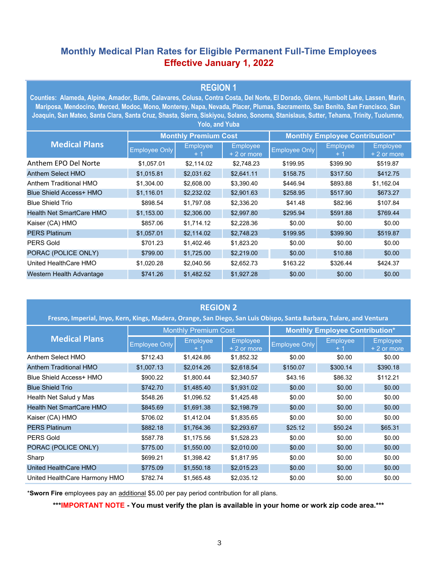## **Monthly Medical Plan Rates for Eligible Permanent Full-Time Employees Effective January 1, 2022**

### **REGION 1**

**Counties: Alameda, Alpine, Amador, Butte, Calavares, Colusa, Contra Costa, Del Norte, El Dorado, Glenn, Humbolt Lake, Lassen, Marin, Mariposa, Mendocino, Merced, Modoc, Mono, Monterey, Napa, Nevada, Placer, Plumas, Sacramento, San Benito, San Francisco, San Joaquin, San Mateo, Santa Clara, Santa Cruz, Shasta, Sierra, Siskiyou, Solano, Sonoma, Stanislaus, Sutter, Tehama, Trinity, Tuolumne, Yolo, and Yuba**

| <b>Medical Plans</b>           | <b>Monthly Premium Cost</b> |                 |                          | <b>Monthly Employee Contribution*</b> |          |                                 |  |
|--------------------------------|-----------------------------|-----------------|--------------------------|---------------------------------------|----------|---------------------------------|--|
|                                | <b>Employee Only</b>        | <b>Employee</b> | Employee<br>$+2$ or more | <b>Employee Only</b>                  | Employee | <b>Employee</b><br>$+2$ or more |  |
| Anthem EPO Del Norte           | \$1.057.01                  | \$2,114.02      | \$2,748.23               | \$199.95                              | \$399.90 | \$519.87                        |  |
| <b>Anthem Select HMO</b>       | \$1,015.81                  | \$2,031.62      | \$2.641.11               | \$158.75                              | \$317.50 | \$412.75                        |  |
| Anthem Traditional HMO         | \$1,304.00                  | \$2,608.00      | \$3,390.40               | \$446.94                              | \$893.88 | \$1,162.04                      |  |
| <b>Blue Shield Access+ HMO</b> | \$1,116.01                  | \$2,232.02      | \$2,901.63               | \$258.95                              | \$517.90 | \$673.27                        |  |
| <b>Blue Shield Trio</b>        | \$898.54                    | \$1,797.08      | \$2,336.20               | \$41.48                               | \$82.96  | \$107.84                        |  |
| Health Net SmartCare HMO       | \$1,153.00                  | \$2,306.00      | \$2,997.80               | \$295.94                              | \$591.88 | \$769.44                        |  |
| Kaiser (CA) HMO                | \$857.06                    | \$1,714.12      | \$2,228.36               | \$0.00                                | \$0.00   | \$0.00                          |  |
| <b>PERS Platinum</b>           | \$1,057.01                  | \$2,114.02      | \$2,748.23               | \$199.95                              | \$399.90 | \$519.87                        |  |
| <b>PERS Gold</b>               | \$701.23                    | \$1,402.46      | \$1,823.20               | \$0.00                                | \$0.00   | \$0.00                          |  |
| PORAC (POLICE ONLY)            | \$799.00                    | \$1,725.00      | \$2,219.00               | \$0.00                                | \$10.88  | \$0.00                          |  |
| United HealthCare HMO          | \$1,020.28                  | \$2,040.56      | \$2,652.73               | \$163.22                              | \$326.44 | \$424.37                        |  |
| Western Health Advantage       | \$741.26                    | \$1,482.52      | \$1,927.28               | \$0.00                                | \$0.00   | \$0.00                          |  |

| <b>REGION 2</b><br>Fresno, Imperial, Inyo, Kern, Kings, Madera, Orange, San Diego, San Luis Obispo, Santa Barbara, Tulare, and Ventura |                      |                             |                                |                      |                                       |                                 |  |  |
|----------------------------------------------------------------------------------------------------------------------------------------|----------------------|-----------------------------|--------------------------------|----------------------|---------------------------------------|---------------------------------|--|--|
|                                                                                                                                        |                      | <b>Monthly Premium Cost</b> |                                |                      | <b>Monthly Employee Contribution*</b> |                                 |  |  |
| <b>Medical Plans</b>                                                                                                                   | <b>Employee Only</b> | <b>Employee</b>             | <b>Employee</b><br>+ 2 or more | <b>Employee Only</b> | <b>Employee</b>                       | <b>Employee</b><br>$+2$ or more |  |  |
| Anthem Select HMO                                                                                                                      | \$712.43             | \$1,424.86                  | \$1,852.32                     | \$0.00               | \$0.00                                | \$0.00                          |  |  |
| <b>Anthem Traditional HMO</b>                                                                                                          | \$1,007.13           | \$2,014.26                  | \$2,618.54                     | \$150.07             | \$300.14                              | \$390.18                        |  |  |
| Blue Shield Access+ HMO                                                                                                                | \$900.22             | \$1,800.44                  | \$2,340.57                     | \$43.16              | \$86.32                               | \$112.21                        |  |  |
| <b>Blue Shield Trio</b>                                                                                                                | \$742.70             | \$1,485.40                  | \$1,931.02                     | \$0.00               | \$0.00                                | \$0.00                          |  |  |
| Health Net Salud y Mas                                                                                                                 | \$548.26             | \$1,096.52                  | \$1,425.48                     | \$0.00               | \$0.00                                | \$0.00                          |  |  |
| Health Net SmartCare HMO                                                                                                               | \$845.69             | \$1,691.38                  | \$2,198.79                     | \$0.00               | \$0.00                                | \$0.00                          |  |  |
| Kaiser (CA) HMO                                                                                                                        | \$706.02             | \$1,412.04                  | \$1,835.65                     | \$0.00               | \$0.00                                | \$0.00                          |  |  |
| <b>PERS Platinum</b>                                                                                                                   | \$882.18             | \$1,764.36                  | \$2,293.67                     | \$25.12              | \$50.24                               | \$65.31                         |  |  |
| <b>PERS Gold</b>                                                                                                                       | \$587.78             | \$1,175.56                  | \$1,528.23                     | \$0.00               | \$0.00                                | \$0.00                          |  |  |
| PORAC (POLICE ONLY)                                                                                                                    | \$775.00             | \$1,550.00                  | \$2,010.00                     | \$0.00               | \$0.00                                | \$0.00                          |  |  |
| Sharp                                                                                                                                  | \$699.21             | \$1,398.42                  | \$1,817.95                     | \$0.00               | \$0.00                                | \$0.00                          |  |  |
| United HealthCare HMO                                                                                                                  | \$775.09             | \$1,550.18                  | \$2,015.23                     | \$0.00               | \$0.00                                | \$0.00                          |  |  |
| United HealthCare Harmony HMO                                                                                                          | \$782.74             | \$1,565.48                  | \$2,035.12                     | \$0.00               | \$0.00                                | \$0.00                          |  |  |

\***Sworn Fire** employees pay an additional \$5.00 per pay period contribution for all plans.

**\*\*\*IMPORTANT NOTE - You must verify the plan is available in your home or work zip code area.\*\*\***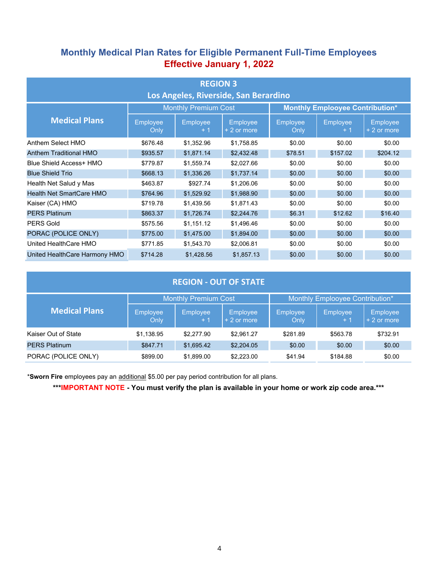## **Monthly Medical Plan Rates for Eligible Permanent Full-Time Employees Effective January 1, 2022**

| <b>REGION 3</b><br>Los Angeles, Riverside, San Berardino |                             |                         |                                |                                        |                  |                         |  |  |
|----------------------------------------------------------|-----------------------------|-------------------------|--------------------------------|----------------------------------------|------------------|-------------------------|--|--|
|                                                          | <b>Monthly Premium Cost</b> |                         |                                | <b>Monthly Emplooyee Contribution*</b> |                  |                         |  |  |
| <b>Medical Plans</b>                                     | <b>Employee</b><br>Only     | <b>Employee</b><br>$+1$ | <b>Employee</b><br>+ 2 or more | <b>Employee</b><br>Only                | Employee<br>$+1$ | Employee<br>+ 2 or more |  |  |
| Anthem Select HMO                                        | \$676.48                    | \$1,352.96              | \$1,758.85                     | \$0.00                                 | \$0.00           | \$0.00                  |  |  |
| Anthem Traditional HMO                                   | \$935.57                    | \$1,871.14              | \$2,432.48                     | \$78.51                                | \$157.02         | \$204.12                |  |  |
| Blue Shield Access+ HMO                                  | \$779.87                    | \$1,559.74              | \$2,027.66                     | \$0.00                                 | \$0.00           | \$0.00                  |  |  |
| <b>Blue Shield Trio</b>                                  | \$668.13                    | \$1,336.26              | \$1,737.14                     | \$0.00                                 | \$0.00           | \$0.00                  |  |  |
| Health Net Salud y Mas                                   | \$463.87                    | \$927.74                | \$1,206.06                     | \$0.00                                 | \$0.00           | \$0.00                  |  |  |
| <b>Health Net SmartCare HMO</b>                          | \$764.96                    | \$1,529.92              | \$1,988.90                     | \$0.00                                 | \$0.00           | \$0.00                  |  |  |
| Kaiser (CA) HMO                                          | \$719.78                    | \$1,439.56              | \$1,871.43                     | \$0.00                                 | \$0.00           | \$0.00                  |  |  |
| <b>PERS Platinum</b>                                     | \$863.37                    | \$1,726.74              | \$2,244.76                     | \$6.31                                 | \$12.62          | \$16.40                 |  |  |
| <b>PERS Gold</b>                                         | \$575.56                    | \$1,151.12              | \$1,496.46                     | \$0.00                                 | \$0.00           | \$0.00                  |  |  |
| PORAC (POLICE ONLY)                                      | \$775.00                    | \$1,475.00              | \$1,894.00                     | \$0.00                                 | \$0.00           | \$0.00                  |  |  |
| United HealthCare HMO                                    | \$771.85                    | \$1,543.70              | \$2,006.81                     | \$0.00                                 | \$0.00           | \$0.00                  |  |  |
| United HealthCare Harmony HMO                            | \$714.28                    | \$1,428.56              | \$1,857.13                     | \$0.00                                 | \$0.00           | \$0.00                  |  |  |

| <b>REGION - OUT OF STATE</b> |                         |                                                                |                                 |                         |                         |                         |  |  |
|------------------------------|-------------------------|----------------------------------------------------------------|---------------------------------|-------------------------|-------------------------|-------------------------|--|--|
|                              |                         | <b>Monthly Premium Cost</b><br>Monthly Emplooyee Contribution* |                                 |                         |                         |                         |  |  |
| <b>Medical Plans</b>         | <b>Employee</b><br>Only | <b>Employee</b><br>$+1$                                        | <b>Employee</b><br>$+2$ or more | <b>Employee</b><br>Only | <b>Employee</b><br>$+1$ | Employee<br>+ 2 or more |  |  |
| Kaiser Out of State          | \$1,138.95              | \$2,277.90                                                     | \$2,961.27                      | \$281.89                | \$563.78                | \$732.91                |  |  |
| <b>PERS Platinum</b>         | \$847.71                | \$1,695.42                                                     | \$2,204.05                      | \$0.00                  | \$0.00                  | \$0.00                  |  |  |
| PORAC (POLICE ONLY)          | \$899.00                | \$1,899.00                                                     | \$2,223.00                      | \$41.94                 | \$184.88                | \$0.00                  |  |  |

\***Sworn Fire** employees pay an additional \$5.00 per pay period contribution for all plans.

**\*\*\*IMPORTANT NOTE - You must verify the plan is available in your home or work zip code area.\*\*\***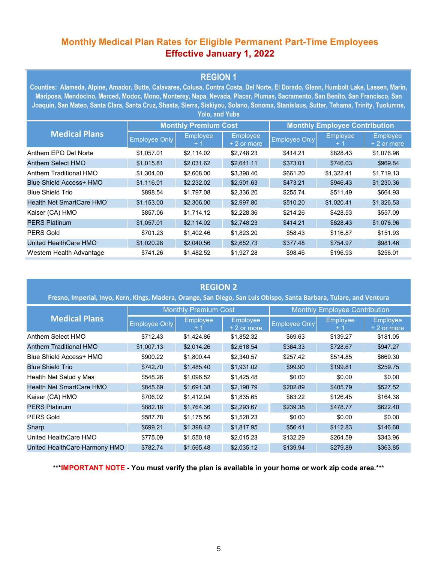## **Monthly Medical Plan Rates for Eligible Permanent Part-Time Employees Effective January 1, 2022**

## **REGION 1**

**Counties: Alameda, Alpine, Amador, Butte, Calavares, Colusa, Contra Costa, Del Norte, El Dorado, Glenn, Humbolt Lake, Lassen, Marin, Mariposa, Mendocino, Merced, Modoc, Mono, Monterey, Napa, Nevada, Placer, Plumas, Sacramento, San Benito, San Francisco, San Joaquin, San Mateo, Santa Clara, Santa Cruz, Shasta, Sierra, Siskiyou, Solano, Sonoma, Stanislaus, Sutter, Tehama, Trinity, Tuolumne, Yolo, and Yuba**

| <b>Medical Plans</b>           | <b>Monthly Premium Cost</b> |                  |                         | <b>Monthly Employee Contribution</b> |                        |                         |  |
|--------------------------------|-----------------------------|------------------|-------------------------|--------------------------------------|------------------------|-------------------------|--|
|                                | <b>Employee Only</b>        | Employee<br>$+1$ | Employee<br>+ 2 or more | <b>Employee Only</b>                 | <b>Employee</b><br>+ 1 | Employee<br>+ 2 or more |  |
| Anthem EPO Del Norte           | \$1,057.01                  | \$2.114.02       | \$2,748.23              | \$414.21                             | \$828.43               | \$1,076.96              |  |
| Anthem Select HMO              | \$1,015.81                  | \$2,031.62       | \$2,641.11              | \$373.01                             | \$746.03               | \$969.84                |  |
| Anthem Traditional HMO         | \$1,304.00                  | \$2,608.00       | \$3,390.40              | \$661.20                             | \$1,322.41             | \$1,719.13              |  |
| <b>Blue Shield Access+ HMO</b> | \$1,116.01                  | \$2,232.02       | \$2,901.63              | \$473.21                             | \$946.43               | \$1,230.36              |  |
| <b>Blue Shield Trio</b>        | \$898.54                    | \$1,797.08       | \$2,336.20              | \$255.74                             | \$511.49               | \$664.93                |  |
| Health Net SmartCare HMO       | \$1,153.00                  | \$2,306.00       | \$2,997.80              | \$510.20                             | \$1.020.41             | \$1,326.53              |  |
| Kaiser (CA) HMO                | \$857.06                    | \$1,714.12       | \$2,228.36              | \$214.26                             | \$428.53               | \$557.09                |  |
| <b>PERS Platinum</b>           | \$1,057.01                  | \$2,114.02       | \$2,748.23              | \$414.21                             | \$828.43               | \$1,076.96              |  |
| <b>PERS Gold</b>               | \$701.23                    | \$1,402.46       | \$1,823.20              | \$58.43                              | \$116.87               | \$151.93                |  |
| United HealthCare HMO          | \$1,020.28                  | \$2,040.56       | \$2,652.73              | \$377.48                             | \$754.97               | \$981.46                |  |
| Western Health Advantage       | \$741.26                    | \$1,482.52       | \$1,927.28              | \$98.46                              | \$196.93               | \$256.01                |  |

#### **REGION 2**

**Fresno, Imperial, Inyo, Kern, Kings, Madera, Orange, San Diego, San Luis Obispo, Santa Barbara, Tulare, and Ventura**

| <b>Medical Plans</b>            |                      | <b>Monthly Premium Cost</b> | <b>Monthly Employee Contribution</b> |                      |                  |                          |
|---------------------------------|----------------------|-----------------------------|--------------------------------------|----------------------|------------------|--------------------------|
|                                 | <b>Employee Only</b> | Employee                    | <b>Employee</b><br>+ 2 or more       | <b>Employee Only</b> | Employee<br>$+1$ | Employee<br>$+2$ or more |
| Anthem Select HMO               | \$712.43             | \$1,424.86                  | \$1,852.32                           | \$69.63              | \$139.27         | \$181.05                 |
| Anthem Traditional HMO          | \$1,007.13           | \$2,014.26                  | \$2,618.54                           | \$364.33             | \$728.67         | \$947.27                 |
| <b>Blue Shield Access+ HMO</b>  | \$900.22             | \$1,800.44                  | \$2,340.57                           | \$257.42             | \$514.85         | \$669.30                 |
| <b>Blue Shield Trio</b>         | \$742.70             | \$1,485.40                  | \$1,931.02                           | \$99.90              | \$199.81         | \$259.75                 |
| Health Net Salud y Mas          | \$548.26             | \$1,096.52                  | \$1,425.48                           | \$0.00               | \$0.00           | \$0.00                   |
| <b>Health Net SmartCare HMO</b> | \$845.69             | \$1,691.38                  | \$2,198.79                           | \$202.89             | \$405.79         | \$527.52                 |
| Kaiser (CA) HMO                 | \$706.02             | \$1,412.04                  | \$1,835.65                           | \$63.22              | \$126.45         | \$164.38                 |
| <b>PERS Platinum</b>            | \$882.18             | \$1,764.36                  | \$2,293.67                           | \$239.38             | \$478.77         | \$622.40                 |
| <b>PERS Gold</b>                | \$587.78             | \$1,175.56                  | \$1,528.23                           | \$0.00               | \$0.00           | \$0.00                   |
| Sharp                           | \$699.21             | \$1,398.42                  | \$1,817.95                           | \$56.41              | \$112.83         | \$146.68                 |
| United HealthCare HMO           | \$775.09             | \$1,550.18                  | \$2,015.23                           | \$132.29             | \$264.59         | \$343.96                 |
| United HealthCare Harmony HMO   | \$782.74             | \$1,565.48                  | \$2,035.12                           | \$139.94             | \$279.89         | \$363.85                 |

**\*\*\*IMPORTANT NOTE - You must verify the plan is available in your home or work zip code area.\*\*\***